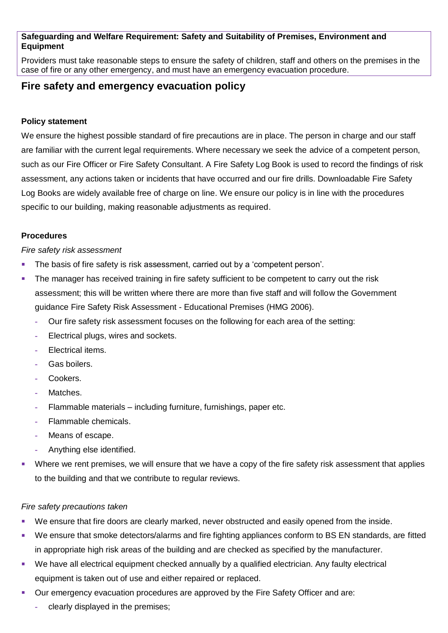## **Safeguarding and Welfare Requirement: Safety and Suitability of Premises, Environment and Equipment**

Providers must take reasonable steps to ensure the safety of children, staff and others on the premises in the case of fire or any other emergency, and must have an emergency evacuation procedure.

# **Fire safety and emergency evacuation policy**

### **Policy statement**

We ensure the highest possible standard of fire precautions are in place. The person in charge and our staff are familiar with the current legal requirements. Where necessary we seek the advice of a competent person, such as our Fire Officer or Fire Safety Consultant. A Fire Safety Log Book is used to record the findings of risk assessment, any actions taken or incidents that have occurred and our fire drills. Downloadable Fire Safety Log Books are widely available free of charge on line. We ensure our policy is in line with the procedures specific to our building, making reasonable adjustments as required.

### **Procedures**

#### *Fire safety risk assessment*

- The basis of fire safety is risk assessment, carried out by a 'competent person'.
- The manager has received training in fire safety sufficient to be competent to carry out the risk assessment; this will be written where there are more than five staff and will follow the Government guidance Fire Safety Risk Assessment - Educational Premises (HMG 2006).
	- **-** Our fire safety risk assessment focuses on the following for each area of the setting:
	- **-** Electrical plugs, wires and sockets.
	- **-** Electrical items.
	- **-** Gas boilers.
	- **-** Cookers.
	- **-** Matches.
	- **-** Flammable materials including furniture, furnishings, paper etc.
	- **-** Flammable chemicals.
	- **-** Means of escape.
	- **-** Anything else identified.
- Where we rent premises, we will ensure that we have a copy of the fire safety risk assessment that applies to the building and that we contribute to regular reviews.

#### *Fire safety precautions taken*

- We ensure that fire doors are clearly marked, never obstructed and easily opened from the inside.
- We ensure that smoke detectors/alarms and fire fighting appliances conform to BS EN standards, are fitted in appropriate high risk areas of the building and are checked as specified by the manufacturer.
- We have all electrical equipment checked annually by a qualified electrician. Any faulty electrical equipment is taken out of use and either repaired or replaced.
- Our emergency evacuation procedures are approved by the Fire Safety Officer and are:
	- **-** clearly displayed in the premises;